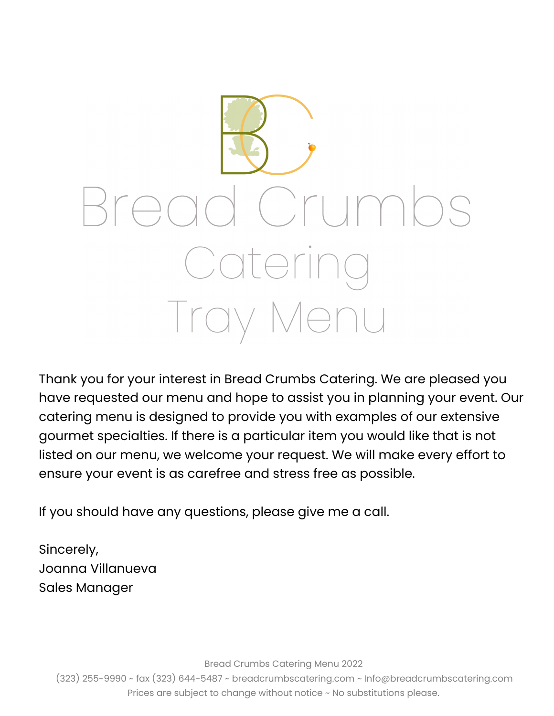

Thank you for your interest in Bread Crumbs Catering. We are pleased you have requested our menu and hope to assist you in planning your event. Our catering menu is designed to provide you with examples of our extensive gourmet specialties. If there is a particular item you would like that is not listed on our menu, we welcome your request. We will make every effort to ensure your event is as carefree and stress free as possible.

If you should have any questions, please give me a call.

Sincerely, Joanna Villanueva Sales Manager

Bread Crumbs Catering Menu 2022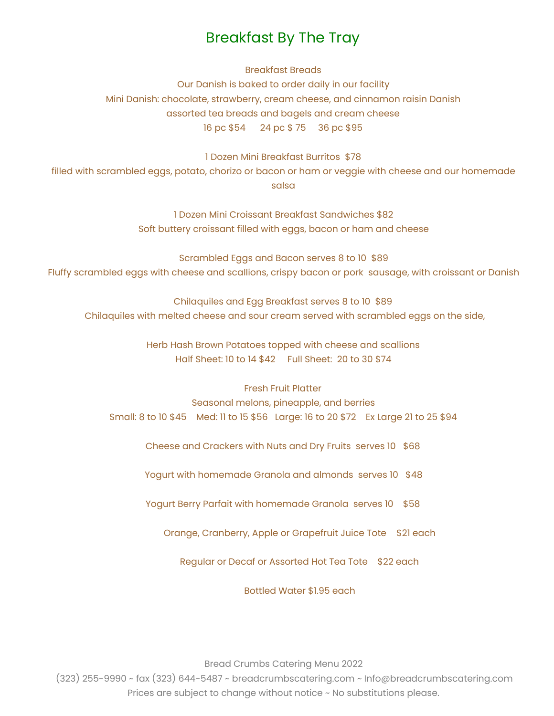### Breakfast By The Tray

Breakfast Breads

Our Danish is baked to order daily in our facility Mini Danish: chocolate, strawberry, cream cheese, and cinnamon raisin Danish assorted tea breads and bagels and cream cheese 16 pc \$54 24 pc \$ 75 36 pc \$95

1 Dozen Mini Breakfast Burritos \$78

filled with scrambled eggs, potato, chorizo or bacon or ham or veggie with cheese and our homemade salsa

> 1 Dozen Mini Croissant Breakfast Sandwiches \$82 Soft buttery croissant filled with eggs, bacon or ham and cheese

Scrambled Eggs and Bacon serves 8 to 10 \$89 Fluffy scrambled eggs with cheese and scallions, crispy bacon or pork sausage, with croissant or Danish

Chilaquiles and Egg Breakfast serves 8 to 10 \$89 Chilaquiles with melted cheese and sour cream served with scrambled eggs on the side,

> Herb Hash Brown Potatoes topped with cheese and scallions Half Sheet: 10 to 14 \$42 Full Sheet: 20 to 30 \$74

#### Fresh Fruit Platter

Seasonal melons, pineapple, and berries Small: 8 to 10 \$45 Med: 11 to 15 \$56 Large: 16 to 20 \$72 Ex Large 21 to 25 \$94

Cheese and Crackers with Nuts and Dry Fruits serves 10 \$68

Yogurt with homemade Granola and almonds serves 10 \$48

Yogurt Berry Parfait with homemade Granola serves 10 \$58

Orange, Cranberry, Apple or Grapefruit Juice Tote \$21 each

Regular or Decaf or Assorted Hot Tea Tote \$22 each

Bottled Water \$1.95 each

Bread Crumbs Catering Menu 2022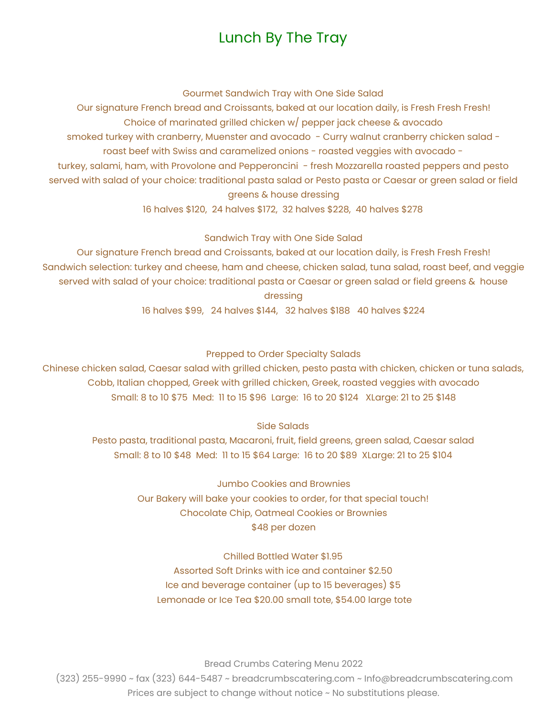### Lunch By The Tray

Gourmet Sandwich Tray with One Side Salad

Our signature French bread and Croissants, baked at our location daily, is Fresh Fresh Fresh! Choice of marinated grilled chicken w/ pepper jack cheese & avocado smoked turkey with cranberry, Muenster and avocado - Curry walnut cranberry chicken salad roast beef with Swiss and caramelized onions - roasted veggies with avocado turkey, salami, ham, with Provolone and Pepperoncini - fresh Mozzarella roasted peppers and pesto served with salad of your choice: traditional pasta salad or Pesto pasta or Caesar or green salad or field greens & house dressing

16 halves \$120, 24 halves \$172, 32 halves \$228, 40 halves \$278

Sandwich Tray with One Side Salad

Our signature French bread and Croissants, baked at our location daily, is Fresh Fresh Fresh! Sandwich selection: turkey and cheese, ham and cheese, chicken salad, tuna salad, roast beef, and veggie served with salad of your choice: traditional pasta or Caesar or green salad or field greens & house dressing

16 halves \$99, 24 halves \$144, 32 halves \$188 40 halves \$224

Prepped to Order Specialty Salads

Chinese chicken salad, Caesar salad with grilled chicken, pesto pasta with chicken, chicken or tuna salads, Cobb, Italian chopped, Greek with grilled chicken, Greek, roasted veggies with avocado Small: 8 to 10 \$75 Med: 11 to 15 \$96 Large: 16 to 20 \$124 XLarge: 21 to 25 \$148

Side Salads

Pesto pasta, traditional pasta, Macaroni, fruit, field greens, green salad, Caesar salad Small: 8 to 10 \$48 Med: 11 to 15 \$64 Large: 16 to 20 \$89 XLarge: 21 to 25 \$104

> Jumbo Cookies and Brownies Our Bakery will bake your cookies to order, for that special touch! Chocolate Chip, Oatmeal Cookies or Brownies \$48 per dozen

Chilled Bottled Water \$1.95 Assorted Soft Drinks with ice and container \$2.50 Ice and beverage container (up to 15 beverages) \$5 Lemonade or Ice Tea \$20.00 small tote, \$54.00 large tote

Bread Crumbs Catering Menu 2022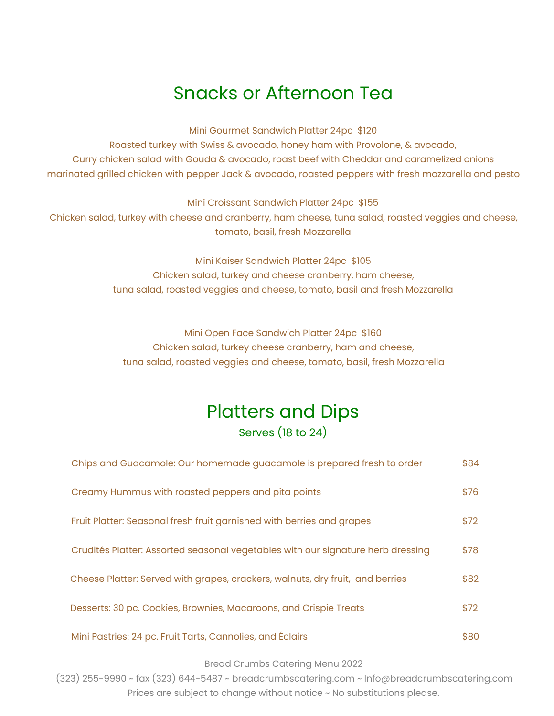## Snacks or Afternoon Tea

Mini Gourmet Sandwich Platter 24pc \$120

Roasted turkey with Swiss & avocado, honey ham with Provolone, & avocado, Curry chicken salad with Gouda & avocado, roast beef with Cheddar and caramelized onions marinated grilled chicken with pepper Jack & avocado, roasted peppers with fresh mozzarella and pesto

Mini Croissant Sandwich Platter 24pc \$155

Chicken salad, turkey with cheese and cranberry, ham cheese, tuna salad, roasted veggies and cheese, tomato, basil, fresh Mozzarella

> Mini Kaiser Sandwich Platter 24pc \$105 Chicken salad, turkey and cheese cranberry, ham cheese, tuna salad, roasted veggies and cheese, tomato, basil and fresh Mozzarella

Mini Open Face Sandwich Platter 24pc \$160 Chicken salad, turkey cheese cranberry, ham and cheese, tuna salad, roasted veggies and cheese, tomato, basil, fresh Mozzarella

## Platters and Dips Serves (18 to 24)

| Chips and Guacamole: Our homemade guacamole is prepared fresh to order          | \$84 |
|---------------------------------------------------------------------------------|------|
| Creamy Hummus with roasted peppers and pita points                              | \$76 |
| Fruit Platter: Seasonal fresh fruit garnished with berries and grapes           | \$72 |
| Crudités Platter: Assorted seasonal vegetables with our signature herb dressing | \$78 |
| Cheese Platter: Served with grapes, crackers, walnuts, dry fruit, and berries   | \$82 |
| Desserts: 30 pc. Cookies, Brownies, Macaroons, and Crispie Treats               | \$72 |
| Mini Pastries: 24 pc. Fruit Tarts, Cannolies, and Éclairs                       | \$80 |

Bread Crumbs Catering Menu 2022